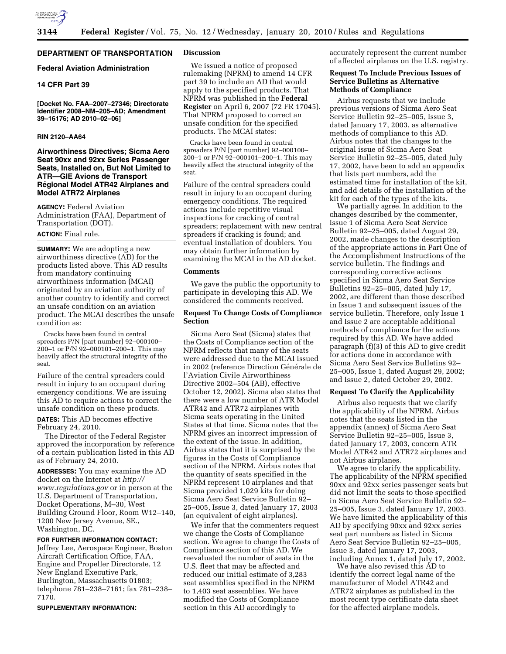

# **DEPARTMENT OF TRANSPORTATION**

## **Federal Aviation Administration**

## **14 CFR Part 39**

**[Docket No. FAA–2007–27346; Directorate Identifier 2008–NM–205–AD; Amendment 39–16176; AD 2010–02–06]** 

## **RIN 2120–AA64**

## **Airworthiness Directives; Sicma Aero Seat 90xx and 92xx Series Passenger Seats, Installed on, But Not Limited to ATR—GIE Avions de Transport Régional Model ATR42 Airplanes and Model ATR72 Airplanes**

**AGENCY:** Federal Aviation Administration (FAA), Department of Transportation (DOT).

## **ACTION:** Final rule.

**SUMMARY:** We are adopting a new airworthiness directive (AD) for the products listed above. This AD results from mandatory continuing airworthiness information (MCAI) originated by an aviation authority of another country to identify and correct an unsafe condition on an aviation product. The MCAI describes the unsafe condition as:

Cracks have been found in central spreaders P/N [part number] 92–000100– 200–1 or P/N 92–000101–200–1. This may heavily affect the structural integrity of the seat.

Failure of the central spreaders could result in injury to an occupant during emergency conditions. We are issuing this AD to require actions to correct the unsafe condition on these products.

**DATES:** This AD becomes effective February 24, 2010.

The Director of the Federal Register approved the incorporation by reference of a certain publication listed in this AD as of February 24, 2010.

**ADDRESSES:** You may examine the AD docket on the Internet at *http:// www.regulations.gov* or in person at the U.S. Department of Transportation, Docket Operations, M–30, West Building Ground Floor, Room W12–140, 1200 New Jersey Avenue, SE., Washington, DC.

### **FOR FURTHER INFORMATION CONTACT:**

Jeffrey Lee, Aerospace Engineer, Boston Aircraft Certification Office, FAA, Engine and Propeller Directorate, 12 New England Executive Park, Burlington, Massachusetts 01803; telephone 781–238–7161; fax 781–238– 7170.

**SUPPLEMENTARY INFORMATION:** 

## **Discussion**

We issued a notice of proposed rulemaking (NPRM) to amend 14 CFR part 39 to include an AD that would apply to the specified products. That NPRM was published in the **Federal Register** on April 6, 2007 (72 FR 17045). That NPRM proposed to correct an unsafe condition for the specified products. The MCAI states:

Cracks have been found in central spreaders P/N [part number] 92–000100– 200–1 or P/N 92–000101–200–1. This may heavily affect the structural integrity of the seat.

Failure of the central spreaders could result in injury to an occupant during emergency conditions. The required actions include repetitive visual inspections for cracking of central spreaders; replacement with new central spreaders if cracking is found; and eventual installation of doublers. You may obtain further information by examining the MCAI in the AD docket.

#### **Comments**

We gave the public the opportunity to participate in developing this AD. We considered the comments received.

## **Request To Change Costs of Compliance Section**

Sicma Aero Seat (Sicma) states that the Costs of Compliance section of the NPRM reflects that many of the seats were addressed due to the MCAI issued in 2002 (reference Direction Générale de l'Aviation Civile Airworthiness Directive 2002–504 (AB), effective October 12, 2002). Sicma also states that there were a low number of ATR Model ATR42 and ATR72 airplanes with Sicma seats operating in the United States at that time. Sicma notes that the NPRM gives an incorrect impression of the extent of the issue. In addition, Airbus states that it is surprised by the figures in the Costs of Compliance section of the NPRM. Airbus notes that the quantity of seats specified in the NPRM represent 10 airplanes and that Sicma provided 1,029 kits for doing Sicma Aero Seat Service Bulletin 92– 25–005, Issue 3, dated January 17, 2003 (an equivalent of eight airplanes).

We infer that the commenters request we change the Costs of Compliance section. We agree to change the Costs of Compliance section of this AD. We reevaluated the number of seats in the U.S. fleet that may be affected and reduced our initial estimate of 3,283 seat assemblies specified in the NPRM to 1,403 seat assemblies. We have modified the Costs of Compliance section in this AD accordingly to

accurately represent the current number of affected airplanes on the U.S. registry.

## **Request To Include Previous Issues of Service Bulletins as Alternative Methods of Compliance**

Airbus requests that we include previous versions of Sicma Aero Seat Service Bulletin 92–25–005, Issue 3, dated January 17, 2003, as alternative methods of compliance to this AD. Airbus notes that the changes to the original issue of Sicma Aero Seat Service Bulletin 92–25–005, dated July 17, 2002, have been to add an appendix that lists part numbers, add the estimated time for installation of the kit, and add details of the installation of the kit for each of the types of the kits.

We partially agree. In addition to the changes described by the commenter, Issue 1 of Sicma Aero Seat Service Bulletin 92–25–005, dated August 29, 2002, made changes to the description of the appropriate actions in Part One of the Accomplishment Instructions of the service bulletin. The findings and corresponding corrective actions specified in Sicma Aero Seat Service Bulletins 92–25–005, dated July 17, 2002, are different than those described in Issue 1 and subsequent issues of the service bulletin. Therefore, only Issue 1 and Issue 2 are acceptable additional methods of compliance for the actions required by this AD. We have added paragraph (f)(3) of this AD to give credit for actions done in accordance with Sicma Aero Seat Service Bulletins 92– 25–005, Issue 1, dated August 29, 2002; and Issue 2, dated October 29, 2002.

### **Request To Clarify the Applicability**

Airbus also requests that we clarify the applicability of the NPRM. Airbus notes that the seats listed in the appendix (annex) of Sicma Aero Seat Service Bulletin 92–25–005, Issue 3, dated January 17, 2003, concern ATR Model ATR42 and ATR72 airplanes and not Airbus airplanes.

We agree to clarify the applicability. The applicability of the NPRM specified 90xx and 92xx series passenger seats but did not limit the seats to those specified in Sicma Aero Seat Service Bulletin 92– 25–005, Issue 3, dated January 17, 2003. We have limited the applicability of this AD by specifying 90xx and 92xx series seat part numbers as listed in Sicma Aero Seat Service Bulletin 92–25–005, Issue 3, dated January 17, 2003, including Annex 1, dated July 17, 2002.

We have also revised this AD to identify the correct legal name of the manufacturer of Model ATR42 and ATR72 airplanes as published in the most recent type certificate data sheet for the affected airplane models.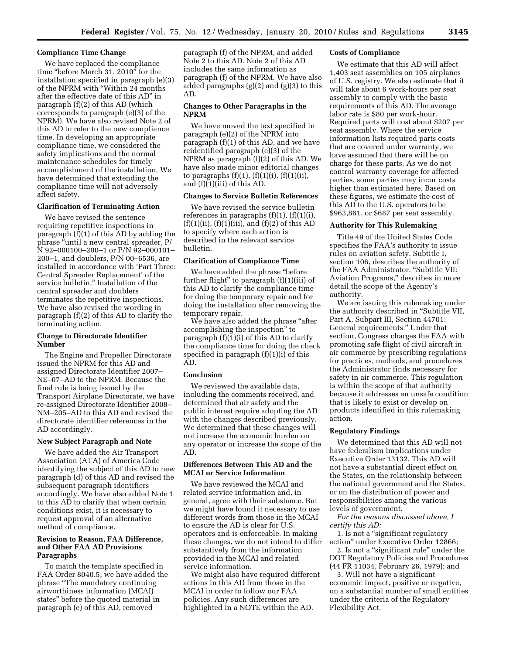## **Compliance Time Change**

We have replaced the compliance time "before March 31, 2010" for the installation specified in paragraph (e)(3) of the NPRM with ''Within 24 months after the effective date of this AD'' in paragraph (f)(2) of this AD (which corresponds to paragraph (e)(3) of the NPRM). We have also revised Note 2 of this AD to refer to the new compliance time. In developing an appropriate compliance time, we considered the safety implications and the normal maintenance schedules for timely accomplishment of the installation. We have determined that extending the compliance time will not adversely affect safety.

## **Clarification of Terminating Action**

We have revised the sentence requiring repetitive inspections in paragraph (f)(1) of this AD by adding the phrase ''until a new central spreader, P/ N 92–000100–200–1 or P/N 92–000101– 200–1, and doublers, P/N 00–6536, are installed in accordance with 'Part Three: Central Spreader Replacement' of the service bulletin.'' Installation of the central spreader and doublers terminates the repetitive inspections. We have also revised the wording in paragraph (f)(2) of this AD to clarify the terminating action.

# **Change to Directorate Identifier Number**

The Engine and Propeller Directorate issued the NPRM for this AD and assigned Directorate Identifier 2007– NE–07–AD to the NPRM. Because the final rule is being issued by the Transport Airplane Directorate, we have re-assigned Directorate Identifier 2008– NM–205–AD to this AD and revised the directorate identifier references in the AD accordingly.

#### **New Subject Paragraph and Note**

We have added the Air Transport Association (ATA) of America Code identifying the subject of this AD to new paragraph (d) of this AD and revised the subsequent paragraph identifiers accordingly. We have also added Note 1 to this AD to clarify that when certain conditions exist, it is necessary to request approval of an alternative method of compliance.

## **Revision to Reason, FAA Difference, and Other FAA AD Provisions Paragraphs**

To match the template specified in FAA Order 8040.5, we have added the phrase ''The mandatory continuing airworthiness information (MCAI) states'' before the quoted material in paragraph (e) of this AD, removed

paragraph (f) of the NPRM, and added Note 2 to this AD. Note 2 of this AD includes the same information as paragraph (f) of the NPRM. We have also added paragraphs (g)(2) and (g)(3) to this AD.

## **Changes to Other Paragraphs in the NPRM**

We have moved the text specified in paragraph (e)(2) of the NPRM into paragraph (f)(1) of this AD, and we have reidentified paragraph (e)(3) of the NPRM as paragraph (f)(2) of this AD. We have also made minor editorial changes to paragraphs  $(f)(1)$ ,  $(f)(1)(i)$ ,  $(f)(1)(ii)$ , and (f)(1)(iii) of this AD.

# **Changes to Service Bulletin References**

We have revised the service bulletin references in paragraphs  $(f)(1)$ ,  $(f)(1)(i)$ ,  $(f)(1)(ii)$ ,  $(f)(1)(iii)$ , and  $(f)(2)$  of this AD to specify where each action is described in the relevant service bulletin.

### **Clarification of Compliance Time**

We have added the phrase "before further flight'' to paragraph (f)(1)(iii) of this AD to clarify the compliance time for doing the temporary repair and for doing the installation after removing the temporary repair.

We have also added the phrase "after accomplishing the inspection'' to paragraph (f)(1)(i) of this AD to clarify the compliance time for doing the check specified in paragraph (f)(1)(i) of this AD.

## **Conclusion**

We reviewed the available data, including the comments received, and determined that air safety and the public interest require adopting the AD with the changes described previously. We determined that these changes will not increase the economic burden on any operator or increase the scope of the AD.

## **Differences Between This AD and the MCAI or Service Information**

We have reviewed the MCAI and related service information and, in general, agree with their substance. But we might have found it necessary to use different words from those in the MCAI to ensure the AD is clear for U.S. operators and is enforceable. In making these changes, we do not intend to differ substantively from the information provided in the MCAI and related service information.

We might also have required different actions in this AD from those in the MCAI in order to follow our FAA policies. Any such differences are highlighted in a NOTE within the AD.

## **Costs of Compliance**

We estimate that this AD will affect 1,403 seat assemblies on 105 airplanes of U.S. registry. We also estimate that it will take about 6 work-hours per seat assembly to comply with the basic requirements of this AD. The average labor rate is \$80 per work-hour. Required parts will cost about \$207 per seat assembly. Where the service information lists required parts costs that are covered under warranty, we have assumed that there will be no charge for these parts. As we do not control warranty coverage for affected parties, some parties may incur costs higher than estimated here. Based on these figures, we estimate the cost of this AD to the U.S. operators to be \$963,861, or \$687 per seat assembly.

### **Authority for This Rulemaking**

Title 49 of the United States Code specifies the FAA's authority to issue rules on aviation safety. Subtitle I, section 106, describes the authority of the FAA Administrator. ''Subtitle VII: Aviation Programs,'' describes in more detail the scope of the Agency's authority.

We are issuing this rulemaking under the authority described in ''Subtitle VII, Part A, Subpart III, Section 44701: General requirements.'' Under that section, Congress charges the FAA with promoting safe flight of civil aircraft in air commerce by prescribing regulations for practices, methods, and procedures the Administrator finds necessary for safety in air commerce. This regulation is within the scope of that authority because it addresses an unsafe condition that is likely to exist or develop on products identified in this rulemaking action.

### **Regulatory Findings**

We determined that this AD will not have federalism implications under Executive Order 13132. This AD will not have a substantial direct effect on the States, on the relationship between the national government and the States, or on the distribution of power and responsibilities among the various levels of government.

*For the reasons discussed above, I certify this AD:* 

1. Is not a ''significant regulatory action'' under Executive Order 12866;

2. Is not a ''significant rule'' under the DOT Regulatory Policies and Procedures (44 FR 11034, February 26, 1979); and

3. Will not have a significant economic impact, positive or negative, on a substantial number of small entities under the criteria of the Regulatory Flexibility Act.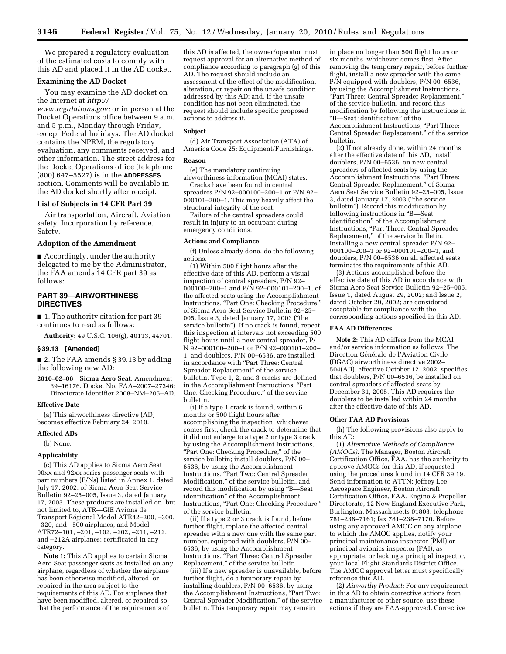We prepared a regulatory evaluation of the estimated costs to comply with this AD and placed it in the AD docket.

## **Examining the AD Docket**

You may examine the AD docket on the Internet at *http://* 

*www.regulations.gov;* or in person at the Docket Operations office between 9 a.m. and 5 p.m., Monday through Friday, except Federal holidays. The AD docket contains the NPRM, the regulatory evaluation, any comments received, and other information. The street address for the Docket Operations office (telephone (800) 647–5527) is in the **ADDRESSES** section. Comments will be available in the AD docket shortly after receipt.

## **List of Subjects in 14 CFR Part 39**

Air transportation, Aircraft, Aviation safety, Incorporation by reference, Safety.

### **Adoption of the Amendment**

■ Accordingly, under the authority delegated to me by the Administrator, the FAA amends 14 CFR part 39 as follows:

## **PART 39—AIRWORTHINESS DIRECTIVES**

■ 1. The authority citation for part 39 continues to read as follows:

**Authority:** 49 U.S.C. 106(g), 40113, 44701.

### **§ 39.13 [Amended]**

■ 2. The FAA amends § 39.13 by adding the following new AD:

**2010–02–06 Sicma Aero Seat**: Amendment 39–16176. Docket No. FAA–2007–27346; Directorate Identifier 2008–NM–205–AD.

#### **Effective Date**

(a) This airworthiness directive (AD) becomes effective February 24, 2010.

#### **Affected ADs**

(b) None.

#### **Applicability**

(c) This AD applies to Sicma Aero Seat 90xx and 92xx series passenger seats with part numbers (P/Ns) listed in Annex 1, dated July 17, 2002, of Sicma Aero Seat Service Bulletin 92–25–005, Issue 3, dated January 17, 2003. These products are installed on, but not limited to, ATR—GIE Avions de Transport Régional Model ATR42-200, -300, –320, and –500 airplanes, and Model ATR72–101, –201, –102, –202, –211, –212, and –212A airplanes; certificated in any category.

**Note 1:** This AD applies to certain Sicma Aero Seat passenger seats as installed on any airplane, regardless of whether the airplane has been otherwise modified, altered, or repaired in the area subject to the requirements of this AD. For airplanes that have been modified, altered, or repaired so that the performance of the requirements of

this AD is affected, the owner/operator must request approval for an alternative method of compliance according to paragraph (g) of this AD. The request should include an assessment of the effect of the modification, alteration, or repair on the unsafe condition addressed by this AD; and, if the unsafe condition has not been eliminated, the request should include specific proposed actions to address it.

#### **Subject**

(d) Air Transport Association (ATA) of America Code 25: Equipment/Furnishings.

#### **Reason**

(e) The mandatory continuing

airworthiness information (MCAI) states: Cracks have been found in central spreaders P/N 92–000100–200–1 or P/N 92– 000101–200–1. This may heavily affect the structural integrity of the seat.

Failure of the central spreaders could result in injury to an occupant during emergency conditions.

#### **Actions and Compliance**

(f) Unless already done, do the following actions.

(1) Within 500 flight hours after the effective date of this AD, perform a visual inspection of central spreaders, P/N 92– 000100–200–1 and P/N 92–000101–200–1, of the affected seats using the Accomplishment Instructions, "Part One: Checking Procedure," of Sicma Aero Seat Service Bulletin 92–25– 005, Issue 3, dated January 17, 2003 (''the service bulletin''). If no crack is found, repeat this inspection at intervals not exceeding 500 flight hours until a new central spreader, P/ N 92–000100–200–1 or P/N 92–000101–200– 1, and doublers, P/N 00–6536, are installed in accordance with ''Part Three: Central Spreader Replacement'' of the service bulletin. Type 1, 2, and 3 cracks are defined in the Accomplishment Instructions, "Part One: Checking Procedure,'' of the service bulletin.

(i) If a type 1 crack is found, within 6 months or 500 flight hours after accomplishing the inspection, whichever comes first, check the crack to determine that it did not enlarge to a type 2 or type 3 crack by using the Accomplishment Instructions, "Part One: Checking Procedure," of the service bulletin; install doublers, P/N 00– 6536, by using the Accomplishment Instructions, ''Part Two: Central Spreader Modification,'' of the service bulletin, and record this modification by using ''B—Seat identification'' of the Accomplishment Instructions, "Part One: Checking Procedure," of the service bulletin.

(ii) If a type 2 or 3 crack is found, before further flight, replace the affected central spreader with a new one with the same part number, equipped with doublers, P/N 00-6536, by using the Accomplishment Instructions, ''Part Three: Central Spreader Replacement,'' of the service bulletin.

(iii) If a new spreader is unavailable, before further flight, do a temporary repair by installing doublers,  $P/N$  00–6536, by using the Accomplishment Instructions, ''Part Two: Central Spreader Modification,'' of the service bulletin. This temporary repair may remain

in place no longer than 500 flight hours or six months, whichever comes first. After removing the temporary repair, before further flight, install a new spreader with the same P/N equipped with doublers, P/N 00–6536, by using the Accomplishment Instructions, ''Part Three: Central Spreader Replacement,'' of the service bulletin, and record this modification by following the instructions in ''B—Seat identification'' of the Accomplishment Instructions, ''Part Three: Central Spreader Replacement,'' of the service bulletin.

(2) If not already done, within 24 months after the effective date of this AD, install doublers, P/N 00–6536, on new central spreaders of affected seats by using the Accomplishment Instructions, ''Part Three: Central Spreader Replacement,'' of Sicma Aero Seat Service Bulletin 92–25–005, Issue 3, dated January 17, 2003 (''the service bulletin''). Record this modification by following instructions in ''B—Seat identification'' of the Accomplishment Instructions, "Part Three: Central Spreader Replacement,'' of the service bulletin. Installing a new central spreader P/N 92– 000100–200–1 or 92–000101–200–1, and doublers, P/N 00–6536 on all affected seats terminates the requirements of this AD.

(3) Actions accomplished before the effective date of this AD in accordance with Sicma Aero Seat Service Bulletin 92–25–005, Issue 1, dated August 29, 2002; and Issue 2, dated October 29, 2002; are considered acceptable for compliance with the corresponding actions specified in this AD.

#### **FAA AD Differences**

**Note 2:** This AD differs from the MCAI and/or service information as follows: The Direction Générale de l'Aviation Civile (DGAC) airworthiness directive 2002– 504(AB), effective October 12, 2002, specifies that doublers, P/N 00–6536, be installed on central spreaders of affected seats by December 31, 2005. This AD requires the doublers to be installed within 24 months after the effective date of this AD.

#### **Other FAA AD Provisions**

(h) The following provisions also apply to this AD:

(1) *Alternative Methods of Compliance (AMOCs):* The Manager, Boston Aircraft Certification Office, FAA, has the authority to approve AMOCs for this AD, if requested using the procedures found in 14 CFR 39.19. Send information to ATTN: Jeffrey Lee, Aerospace Engineer, Boston Aircraft Certification Office, FAA, Engine & Propeller Directorate, 12 New England Executive Park, Burlington, Massachusetts 01803; telephone 781–238–7161; fax 781–238–7170. Before using any approved AMOC on any airplane to which the AMOC applies, notify your principal maintenance inspector (PMI) or principal avionics inspector (PAI), as appropriate, or lacking a principal inspector, your local Flight Standards District Office. The AMOC approval letter must specifically reference this AD.

(2) *Airworthy Product:* For any requirement in this AD to obtain corrective actions from a manufacturer or other source, use these actions if they are FAA-approved. Corrective